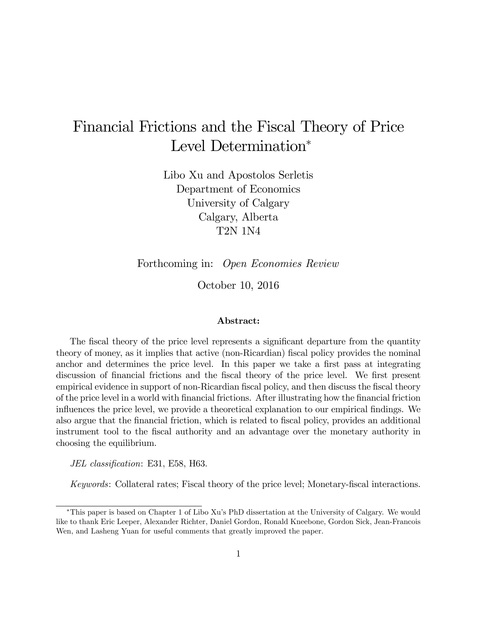# Financial Frictions and the Fiscal Theory of Price Level Determination<sup>\*</sup>

Libo Xu and Apostolos Serletis Department of Economics University of Calgary Calgary, Alberta T2N 1N4

Forthcoming in: Open Economies Review

October 10, 2016

#### Abstract:

The fiscal theory of the price level represents a significant departure from the quantity theory of money, as it implies that active (non-Ricardian) fiscal policy provides the nominal anchor and determines the price level. In this paper we take a first pass at integrating discussion of financial frictions and the fiscal theory of the price level. We first present empirical evidence in support of non-Ricardian fiscal policy, and then discuss the fiscal theory of the price level in a world with financial frictions. After illustrating how the financial friction influences the price level, we provide a theoretical explanation to our empirical findings. We also argue that the financial friction, which is related to fiscal policy, provides an additional instrument tool to the fiscal authority and an advantage over the monetary authority in choosing the equilibrium.

JEL classification: E31, E58, H63.

Keywords: Collateral rates; Fiscal theory of the price level; Monetary-fiscal interactions.

This paper is based on Chapter 1 of Libo Xuís PhD dissertation at the University of Calgary. We would like to thank Eric Leeper, Alexander Richter, Daniel Gordon, Ronald Kneebone, Gordon Sick, Jean-Francois Wen, and Lasheng Yuan for useful comments that greatly improved the paper.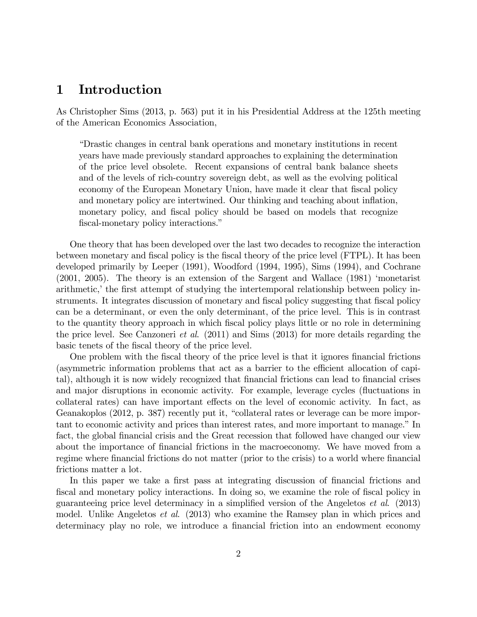# 1 Introduction

As Christopher Sims (2013, p. 563) put it in his Presidential Address at the 125th meeting of the American Economics Association,

ìDrastic changes in central bank operations and monetary institutions in recent years have made previously standard approaches to explaining the determination of the price level obsolete. Recent expansions of central bank balance sheets and of the levels of rich-country sovereign debt, as well as the evolving political economy of the European Monetary Union, have made it clear that fiscal policy and monetary policy are intertwined. Our thinking and teaching about inflation, monetary policy, and fiscal policy should be based on models that recognize fiscal-monetary policy interactions."

One theory that has been developed over the last two decades to recognize the interaction between monetary and fiscal policy is the fiscal theory of the price level (FTPL). It has been developed primarily by Leeper (1991), Woodford (1994, 1995), Sims (1994), and Cochrane (2001, 2005). The theory is an extension of the Sargent and Wallace (1981) ëmonetarist arithmetic, the first attempt of studying the intertemporal relationship between policy instruments. It integrates discussion of monetary and fiscal policy suggesting that fiscal policy can be a determinant, or even the only determinant, of the price level. This is in contrast to the quantity theory approach in which fiscal policy plays little or no role in determining the price level. See Canzoneri et al. (2011) and Sims (2013) for more details regarding the basic tenets of the fiscal theory of the price level.

One problem with the fiscal theory of the price level is that it ignores financial frictions (asymmetric information problems that act as a barrier to the efficient allocation of capital), although it is now widely recognized that financial frictions can lead to financial crises and major disruptions in economic activity. For example, leverage cycles (fluctuations in collateral rates) can have important effects on the level of economic activity. In fact, as Geanakoplos (2012, p. 387) recently put it, "collateral rates or leverage can be more important to economic activity and prices than interest rates, and more important to manage." In fact, the global financial crisis and the Great recession that followed have changed our view about the importance of financial frictions in the macroeconomy. We have moved from a regime where financial frictions do not matter (prior to the crisis) to a world where financial frictions matter a lot.

In this paper we take a first pass at integrating discussion of financial frictions and fiscal and monetary policy interactions. In doing so, we examine the role of fiscal policy in guaranteeing price level determinacy in a simplified version of the Angeletos *et al.* (2013) model. Unlike Angeletos et al. (2013) who examine the Ramsey plan in which prices and determinacy play no role, we introduce a financial friction into an endowment economy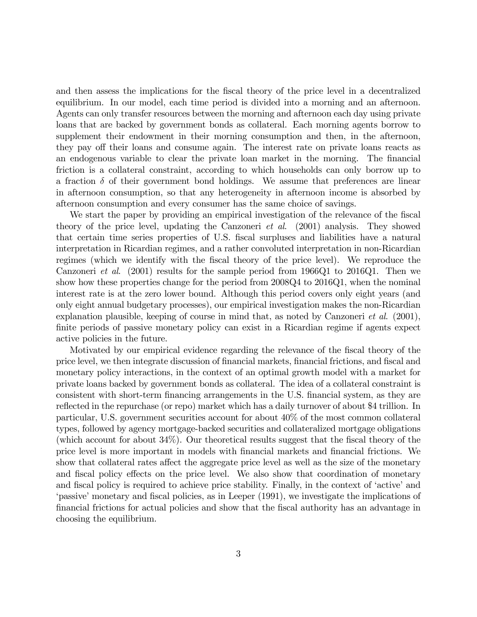and then assess the implications for the fiscal theory of the price level in a decentralized equilibrium. In our model, each time period is divided into a morning and an afternoon. Agents can only transfer resources between the morning and afternoon each day using private loans that are backed by government bonds as collateral. Each morning agents borrow to supplement their endowment in their morning consumption and then, in the afternoon, they pay off their loans and consume again. The interest rate on private loans reacts as an endogenous variable to clear the private loan market in the morning. The financial friction is a collateral constraint, according to which households can only borrow up to a fraction  $\delta$  of their government bond holdings. We assume that preferences are linear in afternoon consumption, so that any heterogeneity in afternoon income is absorbed by afternoon consumption and every consumer has the same choice of savings.

We start the paper by providing an empirical investigation of the relevance of the fiscal theory of the price level, updating the Canzoneri et al. (2001) analysis. They showed that certain time series properties of U.S. Öscal surpluses and liabilities have a natural interpretation in Ricardian regimes, and a rather convoluted interpretation in non-Ricardian regimes (which we identify with the fiscal theory of the price level). We reproduce the Canzoneri *et al.* (2001) results for the sample period from  $1966Q1$  to  $2016Q1$ . Then we show how these properties change for the period from 2008Q4 to 2016Q1, when the nominal interest rate is at the zero lower bound. Although this period covers only eight years (and only eight annual budgetary processes), our empirical investigation makes the non-Ricardian explanation plausible, keeping of course in mind that, as noted by Canzoneri *et al.* (2001), finite periods of passive monetary policy can exist in a Ricardian regime if agents expect active policies in the future.

Motivated by our empirical evidence regarding the relevance of the Öscal theory of the price level, we then integrate discussion of financial markets, financial frictions, and fiscal and monetary policy interactions, in the context of an optimal growth model with a market for private loans backed by government bonds as collateral. The idea of a collateral constraint is consistent with short-term financing arrangements in the U.S. financial system, as they are reflected in the repurchase (or repo) market which has a daily turnover of about \$4 trillion. In particular, U.S. government securities account for about 40% of the most common collateral types, followed by agency mortgage-backed securities and collateralized mortgage obligations (which account for about  $34\%$ ). Our theoretical results suggest that the fiscal theory of the price level is more important in models with Önancial markets and Önancial frictions. We show that collateral rates affect the aggregate price level as well as the size of the monetary and fiscal policy effects on the price level. We also show that coordination of monetary and fiscal policy is required to achieve price stability. Finally, in the context of 'active' and passive' monetary and fiscal policies, as in Leeper (1991), we investigate the implications of Önancial frictions for actual policies and show that the Öscal authority has an advantage in choosing the equilibrium.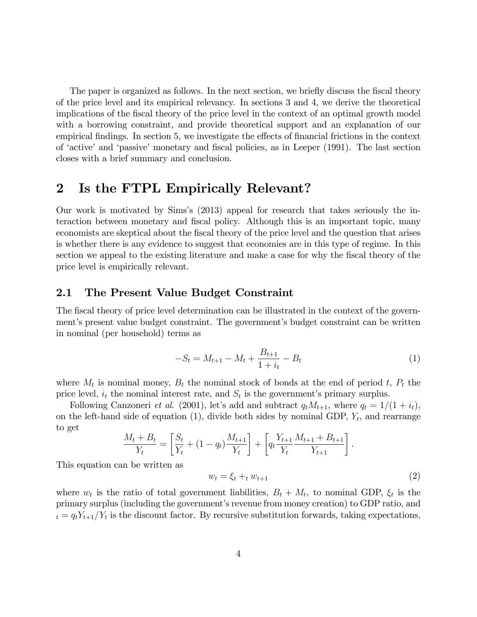The paper is organized as follows. In the next section, we briefly discuss the fiscal theory of the price level and its empirical relevancy. In sections 3 and 4, we derive the theoretical implications of the fiscal theory of the price level in the context of an optimal growth model with a borrowing constraint, and provide theoretical support and an explanation of our empirical findings. In section 5, we investigate the effects of financial frictions in the context of 'active' and 'passive' monetary and fiscal policies, as in Leeper (1991). The last section closes with a brief summary and conclusion.

# 2 Is the FTPL Empirically Relevant?

Our work is motivated by Simsís (2013) appeal for research that takes seriously the interaction between monetary and fiscal policy. Although this is an important topic, many economists are skeptical about the fiscal theory of the price level and the question that arises is whether there is any evidence to suggest that economies are in this type of regime. In this section we appeal to the existing literature and make a case for why the fiscal theory of the price level is empirically relevant.

#### 2.1 The Present Value Budget Constraint

The fiscal theory of price level determination can be illustrated in the context of the government's present value budget constraint. The government's budget constraint can be written in nominal (per household) terms as

$$
-S_t = M_{t+1} - M_t + \frac{B_{t+1}}{1+i_t} - B_t \tag{1}
$$

where  $M_t$  is nominal money,  $B_t$  the nominal stock of bonds at the end of period t,  $P_t$  the price level,  $i_t$  the nominal interest rate, and  $S_t$  is the government's primary surplus.

Following Canzoneri *et al.* (2001), let's add and subtract  $q_t M_{t+1}$ , where  $q_t = 1/(1 + i_t)$ , on the left-hand side of equation  $(1)$ , divide both sides by nominal GDP,  $Y_t$ , and rearrange to get

$$
\frac{M_t + B_t}{Y_t} = \left[\frac{S_t}{Y_t} + (1 - q_t)\frac{M_{t+1}}{Y_t}\right] + \left[q_t\frac{Y_{t+1}}{Y_t}\frac{M_{t+1} + B_{t+1}}{Y_{t+1}}\right].
$$

This equation can be written as

$$
w_t = \xi_t +_t w_{t+1} \tag{2}
$$

where  $w_t$  is the ratio of total government liabilities,  $B_t + M_t$ , to nominal GDP,  $\xi_t$  is the primary surplus (including the government's revenue from money creation) to GDP ratio, and  $t_t = q_t Y_{t+1}/Y_t$  is the discount factor. By recursive substitution forwards, taking expectations,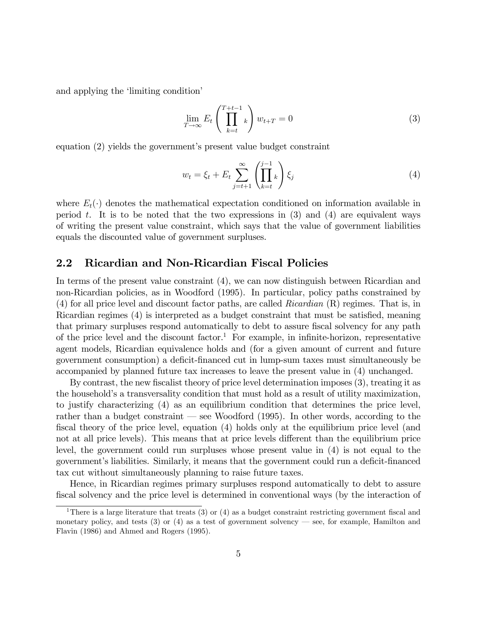and applying the 'limiting condition'

$$
\lim_{T \to \infty} E_t \left( \prod_{k=t}^{T+t-1} k \right) w_{t+T} = 0 \tag{3}
$$

equation  $(2)$  yields the government's present value budget constraint

$$
w_t = \xi_t + E_t \sum_{j=t+1}^{\infty} \left( \prod_{k=t}^{j-1} k \right) \xi_j \tag{4}
$$

where  $E_t(\cdot)$  denotes the mathematical expectation conditioned on information available in period t. It is to be noted that the two expressions in  $(3)$  and  $(4)$  are equivalent ways of writing the present value constraint, which says that the value of government liabilities equals the discounted value of government surpluses.

#### 2.2 Ricardian and Non-Ricardian Fiscal Policies

In terms of the present value constraint (4), we can now distinguish between Ricardian and non-Ricardian policies, as in Woodford (1995). In particular, policy paths constrained by (4) for all price level and discount factor paths, are called Ricardian (R) regimes. That is, in Ricardian regimes (4) is interpreted as a budget constraint that must be satisfied, meaning that primary surpluses respond automatically to debt to assure fiscal solvency for any path of the price level and the discount factor.<sup>1</sup> For example, in infinite-horizon, representative agent models, Ricardian equivalence holds and (for a given amount of current and future government consumption) a deficit-financed cut in lump-sum taxes must simultaneously be accompanied by planned future tax increases to leave the present value in (4) unchanged.

By contrast, the new fiscalist theory of price level determination imposes (3), treating it as the household's a transversality condition that must hold as a result of utility maximization, to justify characterizing (4) as an equilibrium condition that determines the price level, rather than a budget constraint  $\sim$  see Woodford (1995). In other words, according to the fiscal theory of the price level, equation  $(4)$  holds only at the equilibrium price level (and not at all price levels). This means that at price levels different than the equilibrium price level, the government could run surpluses whose present value in (4) is not equal to the government's liabilities. Similarly, it means that the government could run a deficit-financed tax cut without simultaneously planning to raise future taxes.

Hence, in Ricardian regimes primary surpluses respond automatically to debt to assure fiscal solvency and the price level is determined in conventional ways (by the interaction of

<sup>&</sup>lt;sup>1</sup>There is a large literature that treats (3) or (4) as a budget constraint restricting government fiscal and monetary policy, and tests  $(3)$  or  $(4)$  as a test of government solvency — see, for example, Hamilton and Flavin (1986) and Ahmed and Rogers (1995).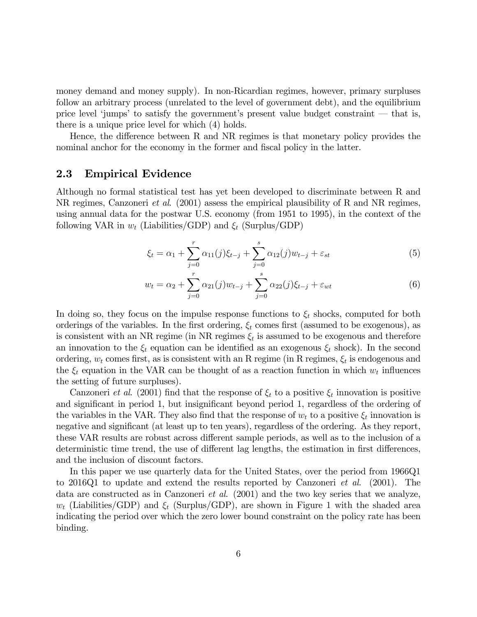money demand and money supply). In non-Ricardian regimes, however, primary surpluses follow an arbitrary process (unrelated to the level of government debt), and the equilibrium price level 'jumps' to satisfy the government's present value budget constraint  $-$  that is, there is a unique price level for which (4) holds.

Hence, the difference between R and NR regimes is that monetary policy provides the nominal anchor for the economy in the former and fiscal policy in the latter.

#### 2.3 Empirical Evidence

Although no formal statistical test has yet been developed to discriminate between R and NR regimes, Canzoneri et al. (2001) assess the empirical plausibility of R and NR regimes, using annual data for the postwar U.S. economy (from 1951 to 1995), in the context of the following VAR in  $w_t$  (Liabilities/GDP) and  $\xi_t$  (Surplus/GDP)

$$
\xi_t = \alpha_1 + \sum_{j=0}^r \alpha_{11}(j)\xi_{t-j} + \sum_{j=0}^s \alpha_{12}(j)w_{t-j} + \varepsilon_{st}
$$
\n(5)

$$
w_t = \alpha_2 + \sum_{j=0}^r \alpha_{21}(j) w_{t-j} + \sum_{j=0}^s \alpha_{22}(j) \xi_{t-j} + \varepsilon_{wt}
$$
 (6)

In doing so, they focus on the impulse response functions to  $\xi_t$  shocks, computed for both orderings of the variables. In the first ordering,  $\xi_t$  comes first (assumed to be exogenous), as is consistent with an NR regime (in NR regimes  $\xi_t$  is assumed to be exogenous and therefore an innovation to the  $\xi_t$  equation can be identified as an exogenous  $\xi_t$  shock). In the second ordering,  $w_t$  comes first, as is consistent with an R regime (in R regimes,  $\xi_t$  is endogenous and the  $\xi_t$  equation in the VAR can be thought of as a reaction function in which  $w_t$  influences the setting of future surpluses).

Canzoneri *et al.* (2001) find that the response of  $\xi_t$  to a positive  $\xi_t$  innovation is positive and significant in period 1, but insignificant beyond period 1, regardless of the ordering of the variables in the VAR. They also find that the response of  $w_t$  to a positive  $\xi_t$  innovation is negative and significant (at least up to ten years), regardless of the ordering. As they report, these VAR results are robust across different sample periods, as well as to the inclusion of a deterministic time trend, the use of different lag lengths, the estimation in first differences, and the inclusion of discount factors.

In this paper we use quarterly data for the United States, over the period from 1966Q1 to 2016Q1 to update and extend the results reported by Canzoneri *et al.* (2001). The data are constructed as in Canzoneri *et al.*  $(2001)$  and the two key series that we analyze,  $w_t$  (Liabilities/GDP) and  $\xi_t$  (Surplus/GDP), are shown in Figure 1 with the shaded area indicating the period over which the zero lower bound constraint on the policy rate has been binding.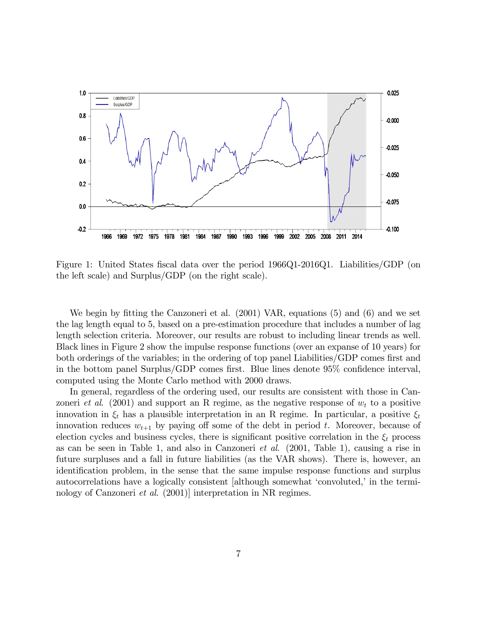

Figure 1: United States fiscal data over the period 1966Q1-2016Q1. Liabilities/GDP (on the left scale) and Surplus/GDP (on the right scale).

We begin by fitting the Canzoneri et al. (2001) VAR, equations (5) and (6) and we set the lag length equal to 5, based on a pre-estimation procedure that includes a number of lag length selection criteria. Moreover, our results are robust to including linear trends as well. Black lines in Figure 2 show the impulse response functions (over an expanse of 10 years) for both orderings of the variables; in the ordering of top panel Liabilities/GDP comes first and in the bottom panel Surplus/GDP comes first. Blue lines denote  $95\%$  confidence interval, computed using the Monte Carlo method with 2000 draws.

In general, regardless of the ordering used, our results are consistent with those in Canzoneri *et al.* (2001) and support an R regime, as the negative response of  $w_t$  to a positive innovation in  $\xi_t$  has a plausible interpretation in an R regime. In particular, a positive  $\xi_t$ innovation reduces  $w_{t+1}$  by paying off some of the debt in period t. Moreover, because of election cycles and business cycles, there is significant positive correlation in the  $\xi_t$  process as can be seen in Table 1, and also in Canzoneri et al. (2001, Table 1), causing a rise in future surpluses and a fall in future liabilities (as the VAR shows). There is, however, an identification problem, in the sense that the same impulse response functions and surplus autocorrelations have a logically consistent [although somewhat 'convoluted,' in the terminology of Canzoneri et al. (2001)] interpretation in NR regimes.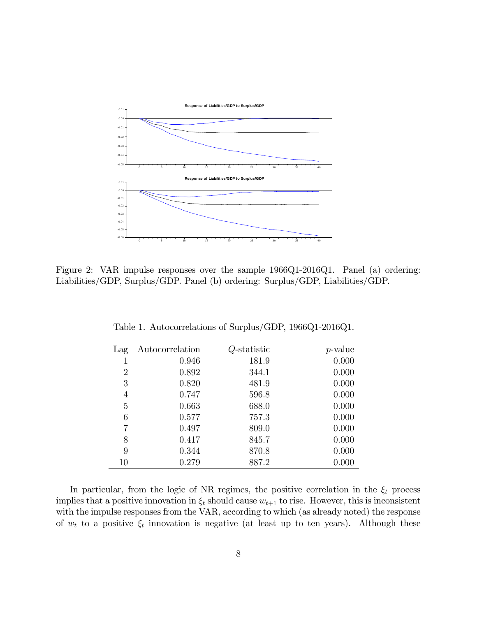

Figure 2: VAR impulse responses over the sample 1966Q1-2016Q1. Panel (a) ordering: Liabilities/GDP, Surplus/GDP. Panel (b) ordering: Surplus/GDP, Liabilities/GDP.

| Lag            | Autocorrelation | Q-statistic | $p$ -value |
|----------------|-----------------|-------------|------------|
| 1              | 0.946           | 181.9       | 0.000      |
| $\overline{2}$ | 0.892           | 344.1       | 0.000      |
| 3              | 0.820           | 481.9       | 0.000      |
| 4              | 0.747           | 596.8       | 0.000      |
| 5              | 0.663           | 688.0       | 0.000      |
| 6              | 0.577           | 757.3       | 0.000      |
| 7              | 0.497           | 809.0       | 0.000      |
| 8              | 0.417           | 845.7       | 0.000      |
| 9              | 0.344           | 870.8       | 0.000      |
| 10             | 0.279           | 887.2       | 0.000      |

Table 1. Autocorrelations of Surplus/GDP, 1966Q1-2016Q1.

In particular, from the logic of NR regimes, the positive correlation in the  $\xi_t$  process implies that a positive innovation in  $\xi_t$  should cause  $w_{t+1}$  to rise. However, this is inconsistent with the impulse responses from the VAR, according to which (as already noted) the response of  $w_t$  to a positive  $\xi_t$  innovation is negative (at least up to ten years). Although these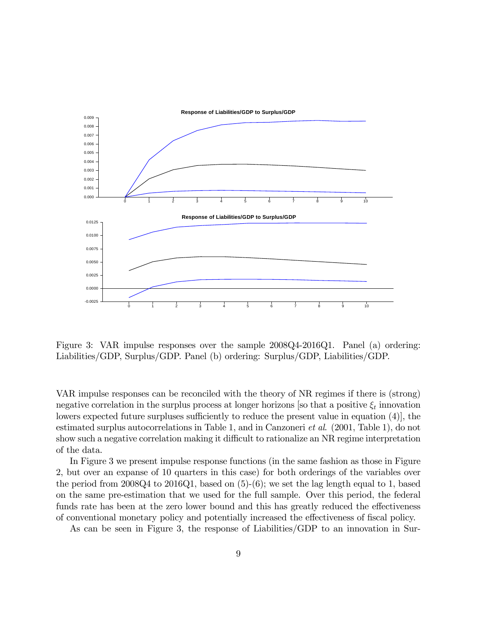

Figure 3: VAR impulse responses over the sample 2008Q4-2016Q1. Panel (a) ordering: Liabilities/GDP, Surplus/GDP. Panel (b) ordering: Surplus/GDP, Liabilities/GDP.

VAR impulse responses can be reconciled with the theory of NR regimes if there is (strong) negative correlation in the surplus process at longer horizons [so that a positive  $\xi_t$  innovation lowers expected future surpluses sufficiently to reduce the present value in equation (4), the estimated surplus autocorrelations in Table 1, and in Canzoneri et al. (2001, Table 1), do not show such a negative correlation making it difficult to rationalize an NR regime interpretation of the data.

In Figure 3 we present impulse response functions (in the same fashion as those in Figure 2, but over an expanse of 10 quarters in this case) for both orderings of the variables over the period from 2008Q4 to 2016Q1, based on (5)-(6); we set the lag length equal to 1, based on the same pre-estimation that we used for the full sample. Over this period, the federal funds rate has been at the zero lower bound and this has greatly reduced the effectiveness of conventional monetary policy and potentially increased the effectiveness of fiscal policy.

As can be seen in Figure 3, the response of Liabilities/GDP to an innovation in Sur-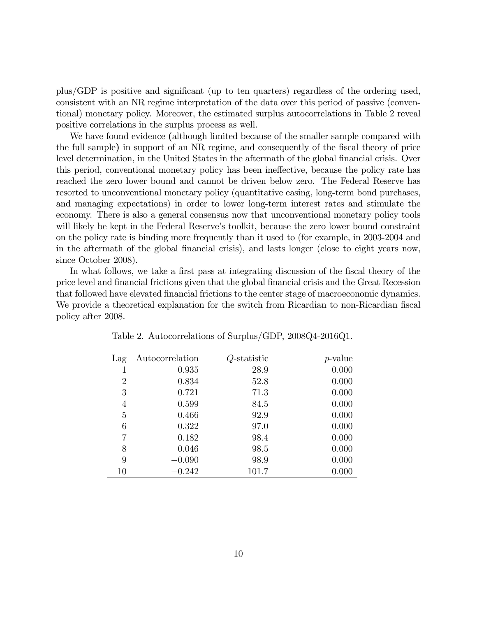plus/GDP is positive and significant (up to ten quarters) regardless of the ordering used, consistent with an NR regime interpretation of the data over this period of passive (conventional) monetary policy. Moreover, the estimated surplus autocorrelations in Table 2 reveal positive correlations in the surplus process as well.

We have found evidence (although limited because of the smaller sample compared with the full sample) in support of an NR regime, and consequently of the fiscal theory of price level determination, in the United States in the aftermath of the global financial crisis. Over this period, conventional monetary policy has been ineffective, because the policy rate has reached the zero lower bound and cannot be driven below zero. The Federal Reserve has resorted to unconventional monetary policy (quantitative easing, long-term bond purchases, and managing expectations) in order to lower long-term interest rates and stimulate the economy. There is also a general consensus now that unconventional monetary policy tools will likely be kept in the Federal Reserve's toolkit, because the zero lower bound constraint on the policy rate is binding more frequently than it used to (for example, in 2003-2004 and in the aftermath of the global Önancial crisis), and lasts longer (close to eight years now, since October 2008).

In what follows, we take a first pass at integrating discussion of the fiscal theory of the price level and Önancial frictions given that the global Önancial crisis and the Great Recession that followed have elevated financial frictions to the center stage of macroeconomic dynamics. We provide a theoretical explanation for the switch from Ricardian to non-Ricardian fiscal policy after 2008.

| Lag            | Autocorrelation | Q-statistic | $p$ -value |
|----------------|-----------------|-------------|------------|
| 1              | 0.935           | 28.9        | 0.000      |
| $\overline{2}$ | 0.834           | 52.8        | 0.000      |
| 3              | 0.721           | 71.3        | 0.000      |
| 4              | 0.599           | 84.5        | 0.000      |
| 5              | 0.466           | 92.9        | 0.000      |
| 6              | 0.322           | 97.0        | 0.000      |
| 7              | 0.182           | 98.4        | 0.000      |
| 8              | 0.046           | 98.5        | 0.000      |
| 9              | $-0.090$        | 98.9        | 0.000      |
| 10             | $-0.242$        | 101.7       | 0.000      |

Table 2. Autocorrelations of Surplus/GDP, 2008Q4-2016Q1.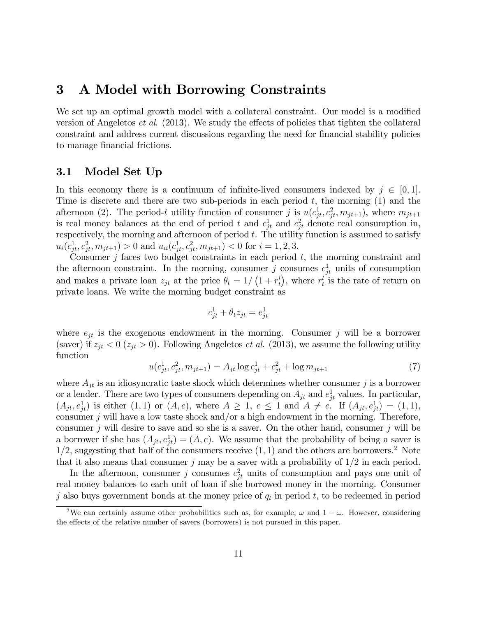# 3 A Model with Borrowing Constraints

We set up an optimal growth model with a collateral constraint. Our model is a modified version of Angeletos *et al.* (2013). We study the effects of policies that tighten the collateral constraint and address current discussions regarding the need for financial stability policies to manage financial frictions.

#### 3.1 Model Set Up

In this economy there is a continuum of infinite-lived consumers indexed by  $j \in [0, 1]$ . Time is discrete and there are two sub-periods in each period  $t$ , the morning  $(1)$  and the afternoon (2). The period-t utility function of consumer j is  $u(c_{jt}^1, c_{jt}^2, m_{jt+1})$ , where  $m_{jt+1}$ is real money balances at the end of period t and  $c_{jt}^1$  and  $c_{jt}^2$  denote real consumption in, respectively, the morning and afternoon of period  $t$ . The utility function is assumed to satisfy  $u_i(c_{jt}^1, c_{jt}^2, m_{jt+1}) > 0$  and  $u_{ii}(c_{jt}^1, c_{jt}^2, m_{jt+1}) < 0$  for  $i = 1, 2, 3$ .

Consumer  $j$  faces two budget constraints in each period  $t$ , the morning constraint and the afternoon constraint. In the morning, consumer j consumes  $c_{jt}^1$  units of consumption and makes a private loan  $z_{jt}$  at the price  $\theta_t = 1/(1 + r_t^l)$ , where  $r_t^l$  is the rate of return on private loans. We write the morning budget constraint as

$$
c_{jt}^1 + \theta_t z_{jt} = e_{jt}^1
$$

where  $e_{jt}$  is the exogenous endowment in the morning. Consumer j will be a borrower (saver) if  $z_{jt} < 0$  ( $z_{jt} > 0$ ). Following Angeletos *et al.* (2013), we assume the following utility function

$$
u(c_{jt}^1, c_{jt}^2, m_{jt+1}) = A_{jt} \log c_{jt}^1 + c_{jt}^2 + \log m_{jt+1}
$$
 (7)

where  $A_{jt}$  is an idiosyncratic taste shock which determines whether consumer j is a borrower or a lender. There are two types of consumers depending on  $A_{jt}$  and  $e_{jt}^1$  values. In particular,  $(A_{jt}, e_{jt}^1)$  is either  $(1, 1)$  or  $(A, e)$ , where  $A \geq 1$ ,  $e \leq 1$  and  $A \neq e$ . If  $(A_{jt}, e_{jt}^1) = (1, 1)$ , consumer j will have a low taste shock and/or a high endowment in the morning. Therefore, consumer j will desire to save and so she is a saver. On the other hand, consumer j will be a borrower if she has  $(A_{jt}, e_{jt}^1) = (A, e)$ . We assume that the probability of being a saver is  $1/2$ , suggesting that half of the consumers receive  $(1, 1)$  and the others are borrowers.<sup>2</sup> Note that it also means that consumer j may be a saver with a probability of  $1/2$  in each period.

In the afternoon, consumer j consumes  $c_{jt}^2$  units of consumption and pays one unit of real money balances to each unit of loan if she borrowed money in the morning. Consumer j also buys government bonds at the money price of  $q_t$  in period t, to be redeemed in period

<sup>&</sup>lt;sup>2</sup>We can certainly assume other probabilities such as, for example,  $\omega$  and  $1 - \omega$ . However, considering the effects of the relative number of savers (borrowers) is not pursued in this paper.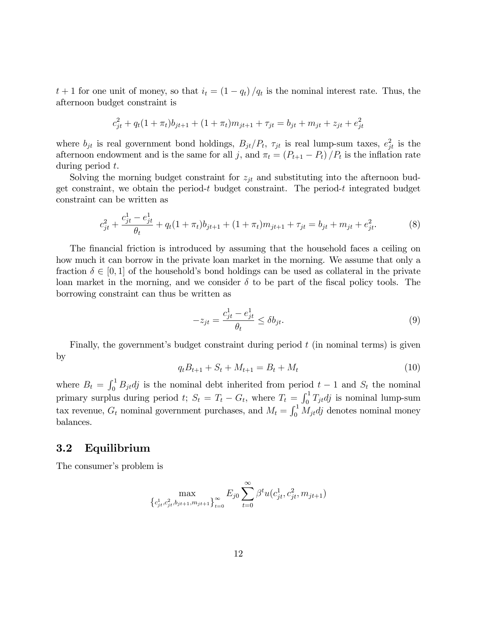$t + 1$  for one unit of money, so that  $i_t = (1 - q_t)/q_t$  is the nominal interest rate. Thus, the afternoon budget constraint is

$$
c_{jt}^{2} + q_{t}(1 + \pi_{t})b_{jt+1} + (1 + \pi_{t})m_{jt+1} + \tau_{jt} = b_{jt} + m_{jt} + z_{jt} + e_{jt}^{2}
$$

where  $b_{jt}$  is real government bond holdings,  $B_{jt}/P_t$ ,  $\tau_{jt}$  is real lump-sum taxes,  $e_{jt}^2$  is the afternoon endowment and is the same for all j, and  $\pi_t = (P_{t+1} - P_t) / P_t$  is the inflation rate during period t.

Solving the morning budget constraint for  $z_{jt}$  and substituting into the afternoon budget constraint, we obtain the period-t budget constraint. The period-t integrated budget constraint can be written as

$$
c_{jt}^{2} + \frac{c_{jt}^{1} - e_{jt}^{1}}{\theta_{t}} + q_{t}(1 + \pi_{t})b_{jt+1} + (1 + \pi_{t})m_{jt+1} + \tau_{jt} = b_{jt} + m_{jt} + e_{jt}^{2}.
$$
 (8)

The financial friction is introduced by assuming that the household faces a ceiling on how much it can borrow in the private loan market in the morning. We assume that only a fraction  $\delta \in [0, 1]$  of the household's bond holdings can be used as collateral in the private loan market in the morning, and we consider  $\delta$  to be part of the fiscal policy tools. The borrowing constraint can thus be written as

$$
-z_{jt} = \frac{c_{jt}^1 - e_{jt}^1}{\theta_t} \le \delta b_{jt}.
$$
\n
$$
(9)
$$

Finally, the government's budget constraint during period  $t$  (in nominal terms) is given by

$$
q_t B_{t+1} + S_t + M_{t+1} = B_t + M_t \tag{10}
$$

where  $B_t = \int_0^1 B_{jt} dj$  is the nominal debt inherited from period  $t - 1$  and  $S_t$  the nominal primary surplus during period t;  $S_t = T_t - G_t$ , where  $T_t = \int_0^1 T_{jt} dt$  is nominal lump-sum tax revenue,  $G_t$  nominal government purchases, and  $M_t = \int_0^1 M_{jt}dj$  denotes nominal money balances.

#### 3.2 Equilibrium

The consumer's problem is

$$
\max_{\left\{c_{jt}^1, c_{jt}^2, b_{jt+1}, m_{jt+1}\right\}_{t=0}^{\infty}} E_{j0} \sum_{t=0}^{\infty} \beta^t u(c_{jt}^1, c_{jt}^2, m_{jt+1})
$$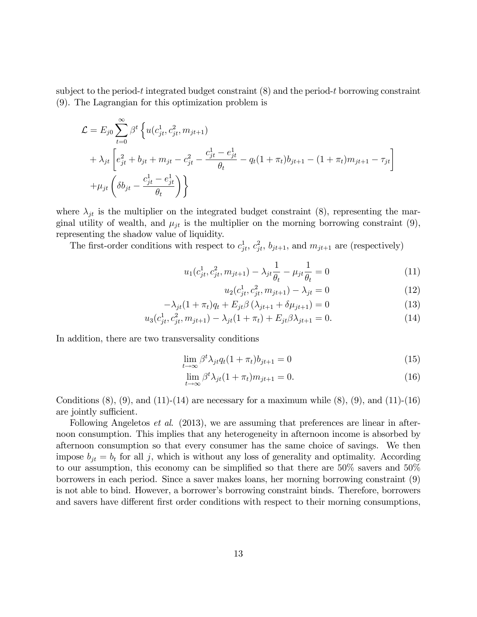subject to the period-t integrated budget constraint  $(8)$  and the period-t borrowing constraint (9). The Lagrangian for this optimization problem is

$$
\mathcal{L} = E_{j0} \sum_{t=0}^{\infty} \beta^t \left\{ u(c_{jt}^1, c_{jt}^2, m_{jt+1}) + \lambda_{jt} \left[ e_{jt}^2 + b_{jt} + m_{jt} - c_{jt}^2 - \frac{c_{jt}^1 - e_{jt}^1}{\theta_t} - q_t (1 + \pi_t) b_{jt+1} - (1 + \pi_t) m_{jt+1} - \tau_{jt} \right] + \mu_{jt} \left( \delta b_{jt} - \frac{c_{jt}^1 - e_{jt}^1}{\theta_t} \right) \right\}
$$

where  $\lambda_{jt}$  is the multiplier on the integrated budget constraint (8), representing the marginal utility of wealth, and  $\mu_{jt}$  is the multiplier on the morning borrowing constraint (9), representing the shadow value of liquidity.

The first-order conditions with respect to  $c_{jt}^1$ ,  $c_{jt}^2$ ,  $b_{jt+1}$ , and  $m_{jt+1}$  are (respectively)

$$
u_1(c_{jt}^1, c_{jt}^2, m_{jt+1}) - \lambda_{jt} \frac{1}{\theta_t} - \mu_{jt} \frac{1}{\theta_t} = 0
$$
\n(11)

$$
u_2(c_{jt}^1, c_{jt}^2, m_{jt+1}) - \lambda_{jt} = 0
$$
\n(12)

$$
-\lambda_{jt}(1+\pi_t)q_t + E_{jt}\beta\left(\lambda_{jt+1} + \delta\mu_{jt+1}\right) = 0\tag{13}
$$

$$
u_3(c_{jt}^1, c_{jt}^2, m_{jt+1}) - \lambda_{jt}(1 + \pi_t) + E_{jt}\beta\lambda_{jt+1} = 0.
$$
 (14)

In addition, there are two transversality conditions

$$
\lim_{t \to \infty} \beta^t \lambda_{jt} q_t (1 + \pi_t) b_{jt+1} = 0 \tag{15}
$$

$$
\lim_{t \to \infty} \beta^t \lambda_{jt} (1 + \pi_t) m_{jt+1} = 0.
$$
\n(16)

Conditions  $(8)$ ,  $(9)$ , and  $(11)-(14)$  are necessary for a maximum while  $(8)$ ,  $(9)$ , and  $(11)-(16)$ are jointly sufficient.

Following Angeletos *et al.* (2013), we are assuming that preferences are linear in afternoon consumption. This implies that any heterogeneity in afternoon income is absorbed by afternoon consumption so that every consumer has the same choice of savings. We then impose  $b_{jt} = b_t$  for all j, which is without any loss of generality and optimality. According to our assumption, this economy can be simplified so that there are  $50\%$  savers and  $50\%$ borrowers in each period. Since a saver makes loans, her morning borrowing constraint (9) is not able to bind. However, a borrower's borrowing constraint binds. Therefore, borrowers and savers have different first order conditions with respect to their morning consumptions,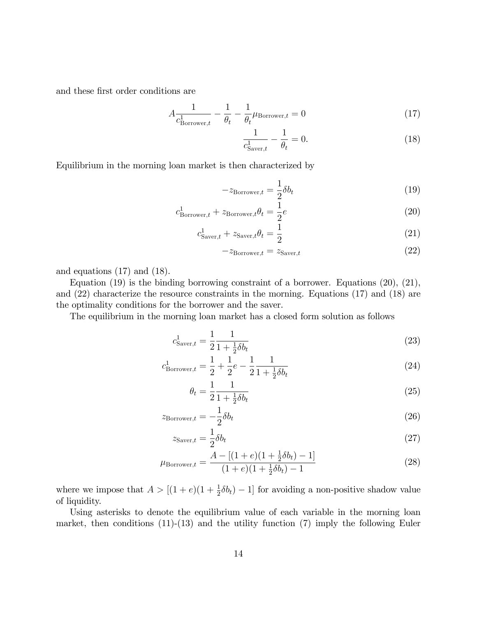and these first order conditions are

$$
A\frac{1}{c_{\text{Borrower},t}^1} - \frac{1}{\theta_t} - \frac{1}{\theta_t} \mu_{\text{Borrower},t} = 0
$$
\n(17)

$$
\frac{1}{c_{\text{Saver},t}^1} - \frac{1}{\theta_t} = 0.
$$
\n(18)

Equilibrium in the morning loan market is then characterized by

$$
-z_{\text{Borrower},t} = \frac{1}{2}\delta b_t
$$
\n(19)

$$
c_{\text{Borrower},t}^1 + z_{\text{Borrower},t}\theta_t = \frac{1}{2}e
$$
\n(20)

$$
c_{\text{Saver},t}^1 + z_{\text{Saver},t}\theta_t = \frac{1}{2}
$$
\n(21)

$$
-z_{\text{Borrower},t} = z_{\text{Saver},t} \tag{22}
$$

and equations (17) and (18).

Equation (19) is the binding borrowing constraint of a borrower. Equations (20), (21), and (22) characterize the resource constraints in the morning. Equations (17) and (18) are the optimality conditions for the borrower and the saver.

The equilibrium in the morning loan market has a closed form solution as follows

$$
c_{\text{Saver},t}^1 = \frac{1}{2} \frac{1}{1 + \frac{1}{2} \delta b_t} \tag{23}
$$

$$
c_{\text{Borrower},t}^1 = \frac{1}{2} + \frac{1}{2}e - \frac{1}{2}\frac{1}{1 + \frac{1}{2}\delta b_t}
$$
 (24)

$$
\theta_t = \frac{1}{2} \frac{1}{1 + \frac{1}{2} \delta b_t} \tag{25}
$$

$$
z_{\text{Borrower},t} = -\frac{1}{2}\delta b_t \tag{26}
$$

$$
z_{\text{Saver},t} = \frac{1}{2}\delta b_t \tag{27}
$$

$$
\mu_{\text{Borrower},t} = \frac{A - [(1+e)(1+\frac{1}{2}\delta b_t) - 1]}{(1+e)(1+\frac{1}{2}\delta b_t) - 1}
$$
\n(28)

where we impose that  $A > [(1+e)(1+\frac{1}{2}\delta b_t) - 1]$  for avoiding a non-positive shadow value of liquidity.

Using asterisks to denote the equilibrium value of each variable in the morning loan market, then conditions  $(11)-(13)$  and the utility function  $(7)$  imply the following Euler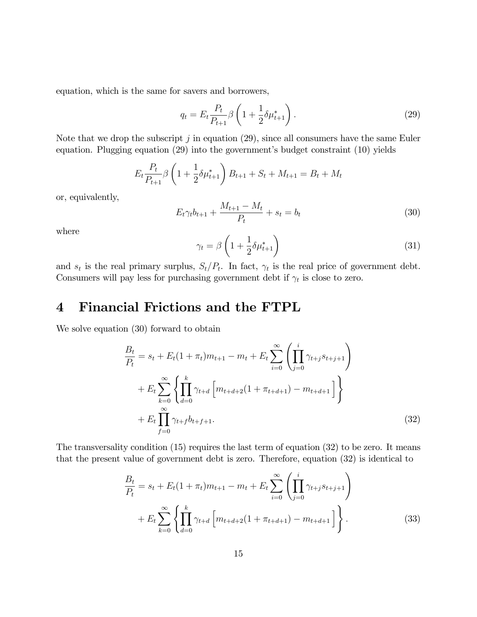equation, which is the same for savers and borrowers,

$$
q_t = E_t \frac{P_t}{P_{t+1}} \beta \left( 1 + \frac{1}{2} \delta \mu_{t+1}^* \right). \tag{29}
$$

Note that we drop the subscript  $j$  in equation (29), since all consumers have the same Euler equation. Plugging equation  $(29)$  into the government's budget constraint  $(10)$  yields

$$
E_t \frac{P_t}{P_{t+1}} \beta \left( 1 + \frac{1}{2} \delta \mu_{t+1}^* \right) B_{t+1} + S_t + M_{t+1} = B_t + M_t
$$

or, equivalently,

$$
E_t \gamma_t b_{t+1} + \frac{M_{t+1} - M_t}{P_t} + s_t = b_t \tag{30}
$$

where

$$
\gamma_t = \beta \left( 1 + \frac{1}{2} \delta \mu_{t+1}^* \right) \tag{31}
$$

and  $s_t$  is the real primary surplus,  $S_t/P_t$ . In fact,  $\gamma_t$  is the real price of government debt. Consumers will pay less for purchasing government debt if  $\gamma_t$  is close to zero.

# 4 Financial Frictions and the FTPL

We solve equation (30) forward to obtain

$$
\frac{B_t}{P_t} = s_t + E_t (1 + \pi_t) m_{t+1} - m_t + E_t \sum_{i=0}^{\infty} \left( \prod_{j=0}^{i} \gamma_{t+j} s_{t+j+1} \right)
$$
  
+ 
$$
E_t \sum_{k=0}^{\infty} \left\{ \prod_{d=0}^{k} \gamma_{t+d} \left[ m_{t+d+2} (1 + \pi_{t+d+1}) - m_{t+d+1} \right] \right\}
$$
  
+ 
$$
E_t \prod_{f=0}^{\infty} \gamma_{t+f} b_{t+f+1}.
$$
 (32)

The transversality condition  $(15)$  requires the last term of equation  $(32)$  to be zero. It means that the present value of government debt is zero. Therefore, equation (32) is identical to

$$
\frac{B_t}{P_t} = s_t + E_t(1 + \pi_t)m_{t+1} - m_t + E_t \sum_{i=0}^{\infty} \left( \prod_{j=0}^{i} \gamma_{t+j} s_{t+j+1} \right) + E_t \sum_{k=0}^{\infty} \left\{ \prod_{d=0}^{k} \gamma_{t+d} \left[ m_{t+d+2} (1 + \pi_{t+d+1}) - m_{t+d+1} \right] \right\}.
$$
\n(33)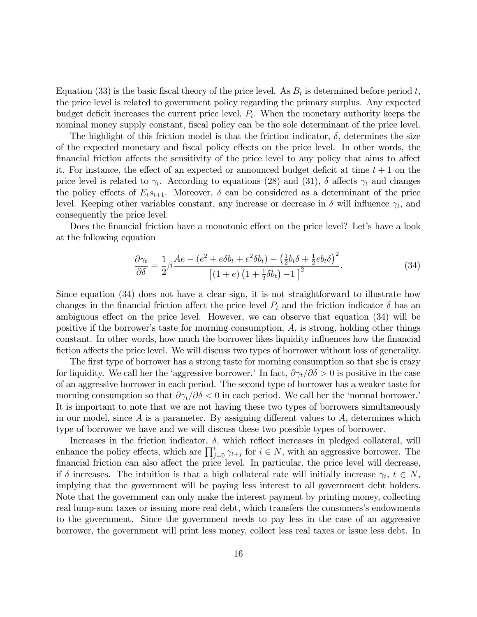Equation (33) is the basic fiscal theory of the price level. As  $B_t$  is determined before period t, the price level is related to government policy regarding the primary surplus. Any expected budget deficit increases the current price level,  $P_t$ . When the monetary authority keeps the nominal money supply constant, fiscal policy can be the sole determinant of the price level.

The highlight of this friction model is that the friction indicator,  $\delta$ , determines the size of the expected monetary and fiscal policy effects on the price level. In other words, the financial friction affects the sensitivity of the price level to any policy that aims to affect it. For instance, the effect of an expected or announced budget deficit at time  $t + 1$  on the price level is related to  $\gamma_t$ . According to equations (28) and (31),  $\delta$  affects  $\gamma_t$  and changes the policy effects of  $E_t s_{t+1}$ . Moreover,  $\delta$  can be considered as a determinant of the price level. Keeping other variables constant, any increase or decrease in  $\delta$  will influence  $\gamma_t$ , and consequently the price level.

Does the financial friction have a monotonic effect on the price level? Let's have a look at the following equation

$$
\frac{\partial \gamma_t}{\partial \delta} = \frac{1}{2} \beta \frac{Ae - (e^2 + e\delta b_t + e^2 \delta b_t) - \left(\frac{1}{2} b_t \delta + \frac{1}{2} e b_t \delta\right)^2}{\left[\left(1 + e\right) \left(1 + \frac{1}{2} \delta b_t\right) - 1\right]^2}.
$$
\n(34)

Since equation (34) does not have a clear sign, it is not straightforward to illustrate how changes in the financial friction affect the price level  $P_t$  and the friction indicator  $\delta$  has an ambiguous effect on the price level. However, we can observe that equation  $(34)$  will be positive if the borrower's taste for morning consumption,  $A$ , is strong, holding other things constant. In other words, how much the borrower likes liquidity influences how the financial fiction affects the price level. We will discuss two types of borrower without loss of generality.

The first type of borrower has a strong taste for morning consumption so that she is crazy for liquidity. We call her the 'aggressive borrower.' In fact,  $\partial \gamma_t / \partial \delta > 0$  is positive in the case of an aggressive borrower in each period. The second type of borrower has a weaker taste for morning consumption so that  $\partial \gamma_t / \partial \delta < 0$  in each period. We call her the 'normal borrower. It is important to note that we are not having these two types of borrowers simultaneously in our model, since  $A$  is a parameter. By assigning different values to  $A$ , determines which type of borrower we have and we will discuss these two possible types of borrower.

Increases in the friction indicator,  $\delta$ , which reflect increases in pledged collateral, will enhance the policy effects, which are  $\prod_{j=0}^{i} \gamma_{t+j}$  for  $i \in N$ , with an aggressive borrower. The financial friction can also affect the price level. In particular, the price level will decrease, if  $\delta$  increases. The intuition is that a high collateral rate will initially increase  $\gamma_t$ ,  $t \in N$ , implying that the government will be paying less interest to all government debt holders. Note that the government can only make the interest payment by printing money, collecting real lump-sum taxes or issuing more real debt, which transfers the consumers's endowments to the government. Since the government needs to pay less in the case of an aggressive borrower, the government will print less money, collect less real taxes or issue less debt. In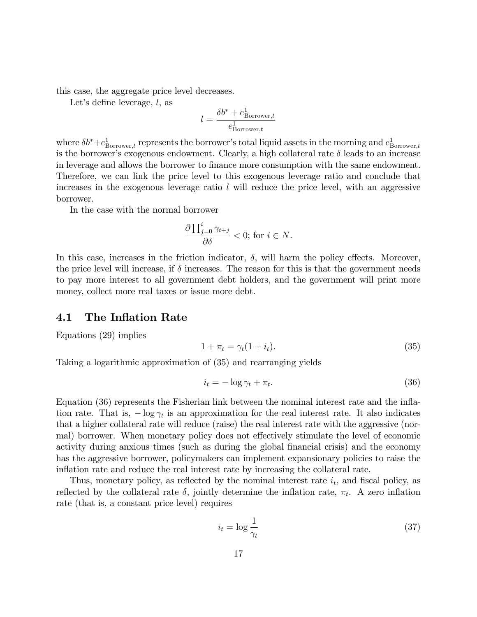this case, the aggregate price level decreases.

Let's define leverage,  $l$ , as

$$
l = \frac{\delta b^* + e_{\text{Borrower},t}^1}{e_{\text{Borrower},t}^1}
$$

where  $\delta b^* + e^1_{\text{Borrower},t}$  represents the borrower's total liquid assets in the morning and  $e^1_{\text{Borrower},t}$ is the borrower's exogenous endowment. Clearly, a high collateral rate  $\delta$  leads to an increase in leverage and allows the borrower to finance more consumption with the same endowment. Therefore, we can link the price level to this exogenous leverage ratio and conclude that increases in the exogenous leverage ratio  $l$  will reduce the price level, with an aggressive borrower.

In the case with the normal borrower

$$
\frac{\partial \prod_{j=0}^{i} \gamma_{t+j}}{\partial \delta} < 0; \text{ for } i \in N.
$$

In this case, increases in the friction indicator,  $\delta$ , will harm the policy effects. Moreover, the price level will increase, if  $\delta$  increases. The reason for this is that the government needs to pay more interest to all government debt holders, and the government will print more money, collect more real taxes or issue more debt.

#### 4.1 The Inflation Rate

Equations (29) implies

$$
1 + \pi_t = \gamma_t (1 + i_t). \tag{35}
$$

Taking a logarithmic approximation of (35) and rearranging yields

$$
i_t = -\log \gamma_t + \pi_t. \tag{36}
$$

Equation (36) represents the Fisherian link between the nominal interest rate and the inflation rate. That is,  $-\log \gamma_t$  is an approximation for the real interest rate. It also indicates that a higher collateral rate will reduce (raise) the real interest rate with the aggressive (normal) borrower. When monetary policy does not effectively stimulate the level of economic activity during anxious times (such as during the global financial crisis) and the economy has the aggressive borrower, policymakers can implement expansionary policies to raise the inflation rate and reduce the real interest rate by increasing the collateral rate.

Thus, monetary policy, as reflected by the nominal interest rate  $i_t$ , and fiscal policy, as reflected by the collateral rate  $\delta$ , jointly determine the inflation rate,  $\pi_t$ . A zero inflation rate (that is, a constant price level) requires

$$
i_t = \log \frac{1}{\gamma_t} \tag{37}
$$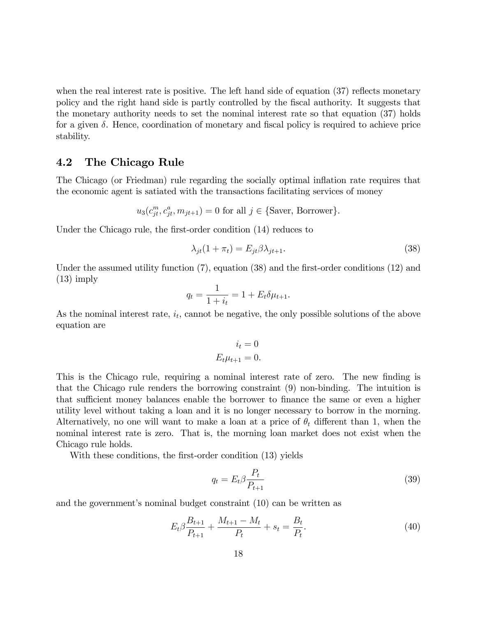when the real interest rate is positive. The left hand side of equation  $(37)$  reflects monetary policy and the right hand side is partly controlled by the Öscal authority. It suggests that the monetary authority needs to set the nominal interest rate so that equation (37) holds for a given  $\delta$ . Hence, coordination of monetary and fiscal policy is required to achieve price stability.

#### 4.2 The Chicago Rule

The Chicago (or Friedman) rule regarding the socially optimal ináation rate requires that the economic agent is satiated with the transactions facilitating services of money

$$
u_3(c_{jt}^m, c_{jt}^a, m_{jt+1}) = 0
$$
 for all  $j \in \{\text{Saver}, \text{Borrower}\}.$ 

Under the Chicago rule, the first-order condition (14) reduces to

$$
\lambda_{jt}(1 + \pi_t) = E_{jt} \beta \lambda_{jt+1}.
$$
\n(38)

Under the assumed utility function  $(7)$ , equation  $(38)$  and the first-order conditions  $(12)$  and  $(13)$  imply

$$
q_t = \frac{1}{1 + i_t} = 1 + E_t \delta \mu_{t+1}.
$$

As the nominal interest rate,  $i_t$ , cannot be negative, the only possible solutions of the above equation are

$$
i_t = 0
$$
  

$$
E_t \mu_{t+1} = 0.
$$

This is the Chicago rule, requiring a nominal interest rate of zero. The new finding is that the Chicago rule renders the borrowing constraint (9) non-binding. The intuition is that sufficient money balances enable the borrower to finance the same or even a higher utility level without taking a loan and it is no longer necessary to borrow in the morning. Alternatively, no one will want to make a loan at a price of  $\theta_t$  different than 1, when the nominal interest rate is zero. That is, the morning loan market does not exist when the Chicago rule holds.

With these conditions, the first-order condition (13) yields

$$
q_t = E_t \beta \frac{P_t}{P_{t+1}} \tag{39}
$$

and the government's nominal budget constraint  $(10)$  can be written as

$$
E_t \beta \frac{B_{t+1}}{P_{t+1}} + \frac{M_{t+1} - M_t}{P_t} + s_t = \frac{B_t}{P_t}.
$$
\n(40)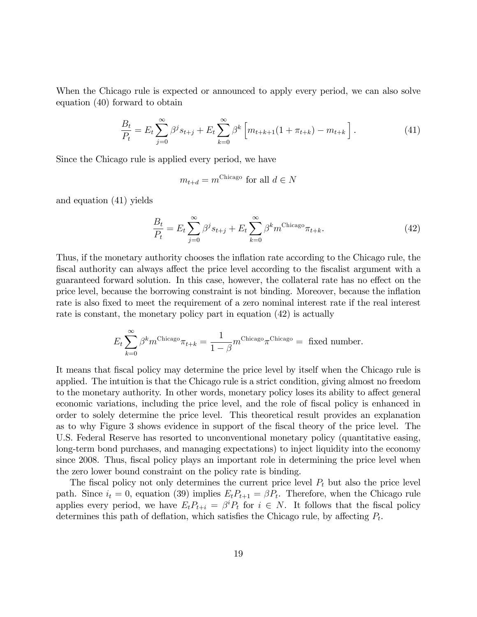When the Chicago rule is expected or announced to apply every period, we can also solve equation (40) forward to obtain

$$
\frac{B_t}{P_t} = E_t \sum_{j=0}^{\infty} \beta^j s_{t+j} + E_t \sum_{k=0}^{\infty} \beta^k \left[ m_{t+k+1} (1 + \pi_{t+k}) - m_{t+k} \right]. \tag{41}
$$

Since the Chicago rule is applied every period, we have

$$
m_{t+d} = m^{\text{Chicago}} \text{ for all } d \in N
$$

and equation (41) yields

$$
\frac{B_t}{P_t} = E_t \sum_{j=0}^{\infty} \beta^j s_{t+j} + E_t \sum_{k=0}^{\infty} \beta^k m^{\text{Chicago}} \pi_{t+k}.
$$
\n(42)

Thus, if the monetary authority chooses the ináation rate according to the Chicago rule, the fiscal authority can always affect the price level according to the fiscalist argument with a guaranteed forward solution. In this case, however, the collateral rate has no effect on the price level, because the borrowing constraint is not binding. Moreover, because the ináation rate is also fixed to meet the requirement of a zero nominal interest rate if the real interest rate is constant, the monetary policy part in equation (42) is actually

$$
E_t \sum_{k=0}^{\infty} \beta^k m^{\text{Chicago}} \pi_{t+k} = \frac{1}{1-\beta} m^{\text{Chicago}} \pi^{\text{Chicago}} = \text{fixed number}.
$$

It means that Öscal policy may determine the price level by itself when the Chicago rule is applied. The intuition is that the Chicago rule is a strict condition, giving almost no freedom to the monetary authority. In other words, monetary policy loses its ability to affect general economic variations, including the price level, and the role of fiscal policy is enhanced in order to solely determine the price level. This theoretical result provides an explanation as to why Figure 3 shows evidence in support of the fiscal theory of the price level. The U.S. Federal Reserve has resorted to unconventional monetary policy (quantitative easing, long-term bond purchases, and managing expectations) to inject liquidity into the economy since 2008. Thus, fiscal policy plays an important role in determining the price level when the zero lower bound constraint on the policy rate is binding.

The fiscal policy not only determines the current price level  $P_t$  but also the price level path. Since  $i_t = 0$ , equation (39) implies  $E_t P_{t+1} = \beta P_t$ . Therefore, when the Chicago rule applies every period, we have  $E_t P_{t+i} = \beta^i P_t$  for  $i \in N$ . It follows that the fiscal policy determines this path of deflation, which satisfies the Chicago rule, by affecting  $P_t$ .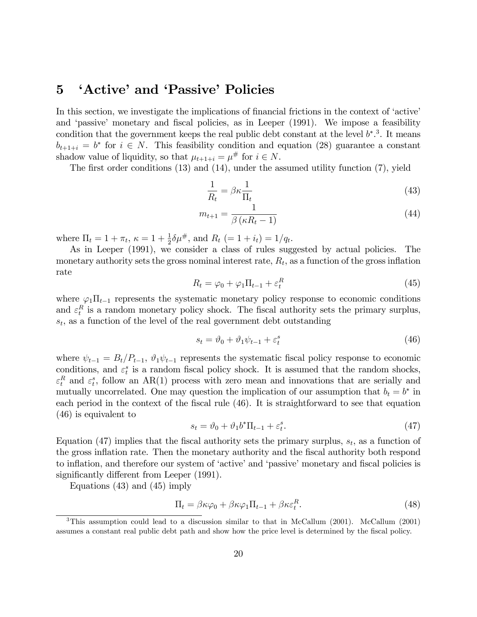# 5 'Active' and 'Passive' Policies

In this section, we investigate the implications of financial frictions in the context of 'active' and 'passive' monetary and fiscal policies, as in Leeper (1991). We impose a feasibility condition that the government keeps the real public debt constant at the level  $b^*$ .<sup>3</sup>. It means  $b_{t+1+i} = b^*$  for  $i \in N$ . This feasibility condition and equation (28) guarantee a constant shadow value of liquidity, so that  $\mu_{t+1+i} = \mu^{\#}$  for  $i \in N$ .

The first order conditions  $(13)$  and  $(14)$ , under the assumed utility function  $(7)$ , yield

$$
\frac{1}{R_t} = \beta \kappa \frac{1}{\Pi_t} \tag{43}
$$

$$
m_{t+1} = \frac{1}{\beta \left(\kappa R_t - 1\right)}\tag{44}
$$

where  $\Pi_t = 1 + \pi_t$ ,  $\kappa = 1 + \frac{1}{2}\delta\mu^{\#}$ , and  $R_t$   $(= 1 + i_t) = 1/q_t$ .

As in Leeper (1991), we consider a class of rules suggested by actual policies. The monetary authority sets the gross nominal interest rate,  $R_t$ , as a function of the gross inflation rate

$$
R_t = \varphi_0 + \varphi_1 \Pi_{t-1} + \varepsilon_t^R \tag{45}
$$

where  $\varphi_1\Pi_{t-1}$  represents the systematic monetary policy response to economic conditions and  $\varepsilon_t^R$  is a random monetary policy shock. The fiscal authority sets the primary surplus,  $s_t$ , as a function of the level of the real government debt outstanding

$$
s_t = \vartheta_0 + \vartheta_1 \psi_{t-1} + \varepsilon_t^s \tag{46}
$$

where  $\psi_{t-1} = B_t/P_{t-1}, \vartheta_1 \psi_{t-1}$  represents the systematic fiscal policy response to economic conditions, and  $\varepsilon_t^s$  is a random fiscal policy shock. It is assumed that the random shocks,  $\varepsilon_t^R$  and  $\varepsilon_t^s$ , follow an AR(1) process with zero mean and innovations that are serially and mutually uncorrelated. One may question the implication of our assumption that  $b_t = b^*$  in each period in the context of the fiscal rule (46). It is straightforward to see that equation (46) is equivalent to

$$
s_t = \vartheta_0 + \vartheta_1 b^* \Pi_{t-1} + \varepsilon_t^s. \tag{47}
$$

Equation (47) implies that the fiscal authority sets the primary surplus,  $s_t$ , as a function of the gross inflation rate. Then the monetary authority and the fiscal authority both respond to inflation, and therefore our system of 'active' and 'passive' monetary and fiscal policies is significantly different from Leeper  $(1991)$ .

Equations (43) and (45) imply

$$
\Pi_t = \beta \kappa \varphi_0 + \beta \kappa \varphi_1 \Pi_{t-1} + \beta \kappa \varepsilon_t^R. \tag{48}
$$

<sup>&</sup>lt;sup>3</sup>This assumption could lead to a discussion similar to that in McCallum (2001). McCallum (2001) assumes a constant real public debt path and show how the price level is determined by the fiscal policy.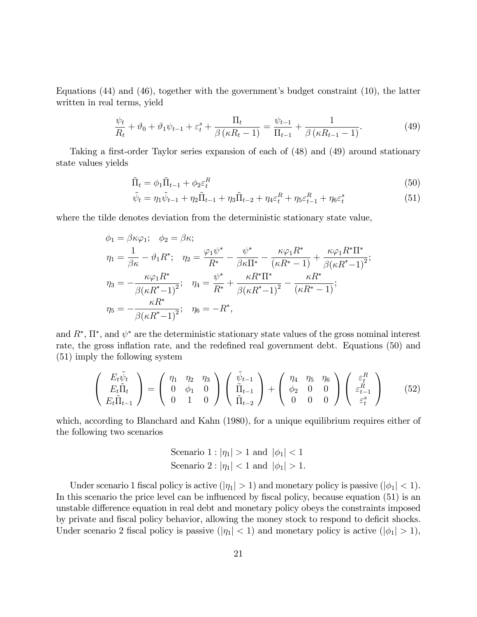Equations  $(44)$  and  $(46)$ , together with the government's budget constraint  $(10)$ , the latter written in real terms, yield

$$
\frac{\psi_t}{R_t} + \vartheta_0 + \vartheta_1 \psi_{t-1} + \varepsilon_t^s + \frac{\Pi_t}{\beta \left(\kappa R_t - 1\right)} = \frac{\psi_{t-1}}{\Pi_{t-1}} + \frac{1}{\beta \left(\kappa R_{t-1} - 1\right)}.\tag{49}
$$

Taking a first-order Taylor series expansion of each of (48) and (49) around stationary state values yields

$$
\tilde{\Pi}_t = \phi_1 \tilde{\Pi}_{t-1} + \phi_2 \varepsilon_t^R \tag{50}
$$

$$
\tilde{\psi}_t = \eta_1 \tilde{\psi}_{t-1} + \eta_2 \tilde{\Pi}_{t-1} + \eta_3 \tilde{\Pi}_{t-2} + \eta_4 \varepsilon_t^R + \eta_5 \varepsilon_{t-1}^R + \eta_6 \varepsilon_t^s \tag{51}
$$

where the tilde denotes deviation from the deterministic stationary state value,

$$
\phi_1 = \beta \kappa \varphi_1; \quad \phi_2 = \beta \kappa; \n\eta_1 = \frac{1}{\beta \kappa} - \vartheta_1 R^*; \quad \eta_2 = \frac{\varphi_1 \psi^*}{R^*} - \frac{\psi^*}{\beta \kappa \Pi^*} - \frac{\kappa \varphi_1 R^*}{(\kappa R^* - 1)} + \frac{\kappa \varphi_1 R^* \Pi^*}{\beta (\kappa R^* - 1)^2}; \n\eta_3 = -\frac{\kappa \varphi_1 R^*}{\beta (\kappa R^* - 1)^2}; \quad \eta_4 = \frac{\psi^*}{R^*} + \frac{\kappa R^* \Pi^*}{\beta (\kappa R^* - 1)^2} - \frac{\kappa R^*}{(\kappa R^* - 1)}; \n\eta_5 = -\frac{\kappa R^*}{\beta (\kappa R^* - 1)^2}; \quad \eta_6 = -R^*,
$$

and  $R^*, \Pi^*,$  and  $\psi^*$  are the deterministic stationary state values of the gross nominal interest rate, the gross inflation rate, and the redefined real government debt. Equations (50) and (51) imply the following system

$$
\begin{pmatrix}\nE_t \tilde{\psi}_t \\
E_t \tilde{\Pi}_t \\
E_t \tilde{\Pi}_{t-1}\n\end{pmatrix} = \begin{pmatrix}\n\eta_1 & \eta_2 & \eta_3 \\
0 & \phi_1 & 0 \\
0 & 1 & 0\n\end{pmatrix} \begin{pmatrix}\n\tilde{\psi}_{t-1} \\
\tilde{\Pi}_{t-1} \\
\tilde{\Pi}_{t-2}\n\end{pmatrix} + \begin{pmatrix}\n\eta_4 & \eta_5 & \eta_6 \\
\phi_2 & 0 & 0 \\
0 & 0 & 0\n\end{pmatrix} \begin{pmatrix}\n\varepsilon_t^R \\
\varepsilon_{t-1}^R \\
\varepsilon_t^s\n\end{pmatrix}
$$
\n(52)

which, according to Blanchard and Kahn (1980), for a unique equilibrium requires either of the following two scenarios

Scenario 1: 
$$
|\eta_1| > 1
$$
 and  $|\phi_1| < 1$    
\nScenario 2:  $|\eta_1| < 1$  and  $|\phi_1| > 1$ .

Under scenario 1 fiscal policy is active  $(|\eta_1| > 1)$  and monetary policy is passive  $(|\phi_1| < 1)$ . In this scenario the price level can be influenced by fiscal policy, because equation (51) is an unstable difference equation in real debt and monetary policy obeys the constraints imposed by private and fiscal policy behavior, allowing the money stock to respond to deficit shocks. Under scenario 2 fiscal policy is passive  $(|\eta_1| < 1)$  and monetary policy is active  $(|\phi_1| > 1)$ ,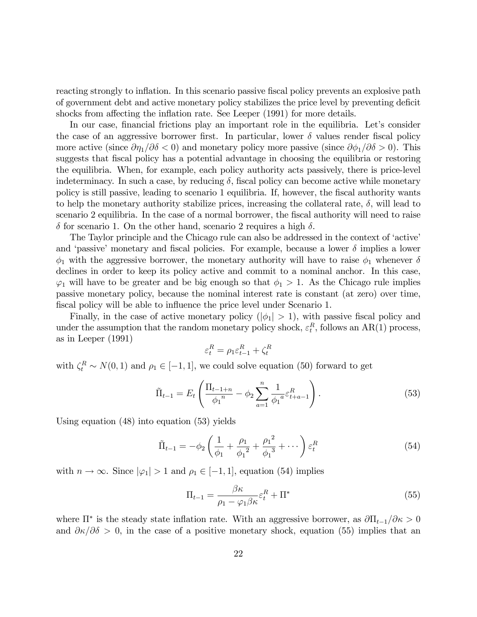reacting strongly to inflation. In this scenario passive fiscal policy prevents an explosive path of government debt and active monetary policy stabilizes the price level by preventing deficit shocks from affecting the inflation rate. See Leeper (1991) for more details.

In our case, financial frictions play an important role in the equilibria. Let's consider the case of an aggressive borrower first. In particular, lower  $\delta$  values render fiscal policy more active (since  $\partial \eta_1/\partial \delta < 0$ ) and monetary policy more passive (since  $\partial \phi_1/\partial \delta > 0$ ). This suggests that fiscal policy has a potential advantage in choosing the equilibria or restoring the equilibria. When, for example, each policy authority acts passively, there is price-level indeterminacy. In such a case, by reducing  $\delta$ , fiscal policy can become active while monetary policy is still passive, leading to scenario 1 equilibria. If, however, the fiscal authority wants to help the monetary authority stabilize prices, increasing the collateral rate,  $\delta$ , will lead to scenario 2 equilibria. In the case of a normal borrower, the fiscal authority will need to raise  $\delta$  for scenario 1. On the other hand, scenario 2 requires a high  $\delta$ .

The Taylor principle and the Chicago rule can also be addressed in the context of 'active' and 'passive' monetary and fiscal policies. For example, because a lower  $\delta$  implies a lower  $\phi_1$  with the aggressive borrower, the monetary authority will have to raise  $\phi_1$  whenever  $\delta$ declines in order to keep its policy active and commit to a nominal anchor. In this case,  $\varphi_1$  will have to be greater and be big enough so that  $\phi_1 > 1$ . As the Chicago rule implies passive monetary policy, because the nominal interest rate is constant (at zero) over time, fiscal policy will be able to influence the price level under Scenario 1.

Finally, in the case of active monetary policy  $(|\phi_1| > 1)$ , with passive fiscal policy and under the assumption that the random monetary policy shock,  $\varepsilon_t^R$ , follows an AR(1) process, as in Leeper (1991)

$$
\varepsilon_t^R = \rho_1\varepsilon_{t-1}^R + \zeta_t^R
$$

with  $\zeta_t^R \sim N(0, 1)$  and  $\rho_1 \in [-1, 1]$ , we could solve equation (50) forward to get

$$
\tilde{\Pi}_{t-1} = E_t \left( \frac{\Pi_{t-1+n}}{\phi_1} - \phi_2 \sum_{a=1}^n \frac{1}{\phi_1} \varepsilon_{t+a-1}^R \right).
$$
\n(53)

Using equation (48) into equation (53) yields

$$
\tilde{\Pi}_{t-1} = -\phi_2 \left( \frac{1}{\phi_1} + \frac{\rho_1}{\phi_1^2} + \frac{\rho_1^2}{\phi_1^3} + \cdots \right) \varepsilon_t^R
$$
\n(54)

with  $n \to \infty$ . Since  $|\varphi_1| > 1$  and  $\rho_1 \in [-1, 1]$ , equation (54) implies

$$
\Pi_{t-1} = \frac{\beta \kappa}{\rho_1 - \varphi_1 \beta \kappa} \varepsilon_t^R + \Pi^*
$$
\n(55)

where  $\Pi^*$  is the steady state inflation rate. With an aggressive borrower, as  $\partial \Pi_{t-1}/\partial \kappa > 0$ and  $\partial \kappa / \partial \delta > 0$ , in the case of a positive monetary shock, equation (55) implies that an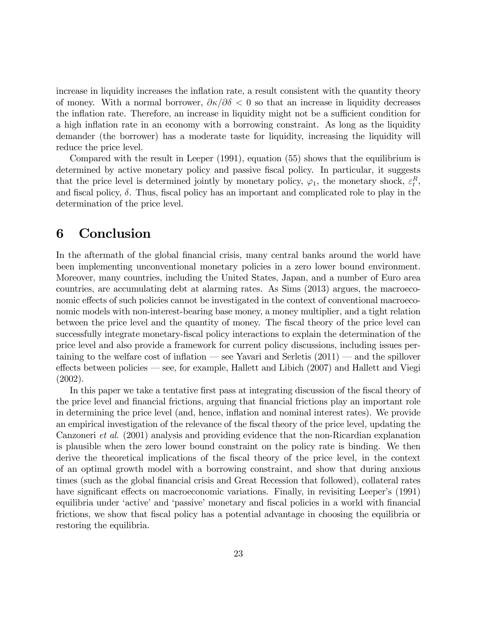increase in liquidity increases the inflation rate, a result consistent with the quantity theory of money. With a normal borrower,  $\partial \kappa / \partial \delta < 0$  so that an increase in liquidity decreases the inflation rate. Therefore, an increase in liquidity might not be a sufficient condition for a high inflation rate in an economy with a borrowing constraint. As long as the liquidity demander (the borrower) has a moderate taste for liquidity, increasing the liquidity will reduce the price level.

Compared with the result in Leeper (1991), equation (55) shows that the equilibrium is determined by active monetary policy and passive fiscal policy. In particular, it suggests that the price level is determined jointly by monetary policy,  $\varphi_1$ , the monetary shock,  $\varepsilon_t^R$ , and fiscal policy,  $\delta$ . Thus, fiscal policy has an important and complicated role to play in the determination of the price level.

### 6 Conclusion

In the aftermath of the global financial crisis, many central banks around the world have been implementing unconventional monetary policies in a zero lower bound environment. Moreover, many countries, including the United States, Japan, and a number of Euro area countries, are accumulating debt at alarming rates. As Sims (2013) argues, the macroeconomic effects of such policies cannot be investigated in the context of conventional macroeconomic models with non-interest-bearing base money, a money multiplier, and a tight relation between the price level and the quantity of money. The fiscal theory of the price level can successfully integrate monetary-fiscal policy interactions to explain the determination of the price level and also provide a framework for current policy discussions, including issues pertaining to the welfare cost of inflation – see Yavari and Serletis  $(2011)$  – and the spillover effects between policies  $\sim$  see, for example, Hallett and Libich (2007) and Hallett and Viegi (2002).

In this paper we take a tentative first pass at integrating discussion of the fiscal theory of the price level and financial frictions, arguing that financial frictions play an important role in determining the price level (and, hence, inflation and nominal interest rates). We provide an empirical investigation of the relevance of the fiscal theory of the price level, updating the Canzoneri et al. (2001) analysis and providing evidence that the non-Ricardian explanation is plausible when the zero lower bound constraint on the policy rate is binding. We then derive the theoretical implications of the fiscal theory of the price level, in the context of an optimal growth model with a borrowing constraint, and show that during anxious times (such as the global Önancial crisis and Great Recession that followed), collateral rates have significant effects on macroeconomic variations. Finally, in revisiting Leeper's (1991) equilibria under 'active' and 'passive' monetary and fiscal policies in a world with financial frictions, we show that fiscal policy has a potential advantage in choosing the equilibria or restoring the equilibria.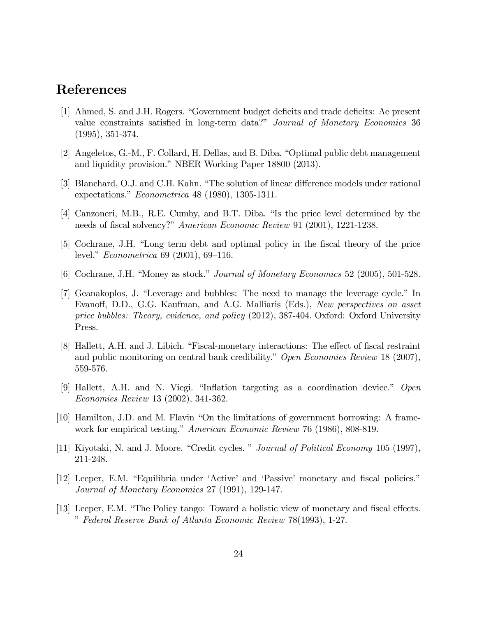# References

- [1] Ahmed, S. and J.H. Rogers. "Government budget deficits and trade deficits: Ae present value constraints satisfied in long-term data?" Journal of Monetary Economics 36 (1995), 351-374.
- [2] Angeletos, G.-M., F. Collard, H. Dellas, and B. Diba. "Optimal public debt management and liquidity provision." NBER Working Paper 18800 (2013).
- [3] Blanchard, O.J. and C.H. Kahn. "The solution of linear difference models under rational expectations."  $Econometrica 48 (1980), 1305-1311.$
- [4] Canzoneri, M.B., R.E. Cumby, and B.T. Diba. "Is the price level determined by the needs of fiscal solvency?" American Economic Review 91 (2001), 1221-1238.
- [5] Cochrane, J.H. "Long term debt and optimal policy in the fiscal theory of the price level." *Econometrica* 69 (2001), 69–116.
- [6] Cochrane, J.H. "Money as stock." Journal of Monetary Economics 52 (2005), 501-528.
- [7] Geanakoplos, J. "Leverage and bubbles: The need to manage the leverage cycle." In Evanoff, D.D., G.G. Kaufman, and A.G. Malliaris (Eds.), New perspectives on asset price bubbles: Theory, evidence, and policy (2012), 387-404. Oxford: Oxford University Press.
- [8] Hallett, A.H. and J. Libich. "Fiscal-monetary interactions: The effect of fiscal restraint and public monitoring on central bank credibility." Open Economies Review 18 (2007), 559-576.
- [9] Hallett, A.H. and N. Viegi. "Inflation targeting as a coordination device." Open Economies Review 13 (2002), 341-362.
- [10] Hamilton, J.D. and M. Flavin "On the limitations of government borrowing: A framework for empirical testing." American Economic Review 76 (1986), 808-819.
- [11] Kiyotaki, N. and J. Moore. "Credit cycles. " Journal of Political Economy 105 (1997), 211-248.
- [12] Leeper, E.M. "Equilibria under 'Active' and 'Passive' monetary and fiscal policies." Journal of Monetary Economics 27 (1991), 129-147.
- [13] Leeper, E.M. "The Policy tango: Toward a holistic view of monetary and fiscal effects. îFederal Reserve Bank of Atlanta Economic Review 78(1993), 1-27.